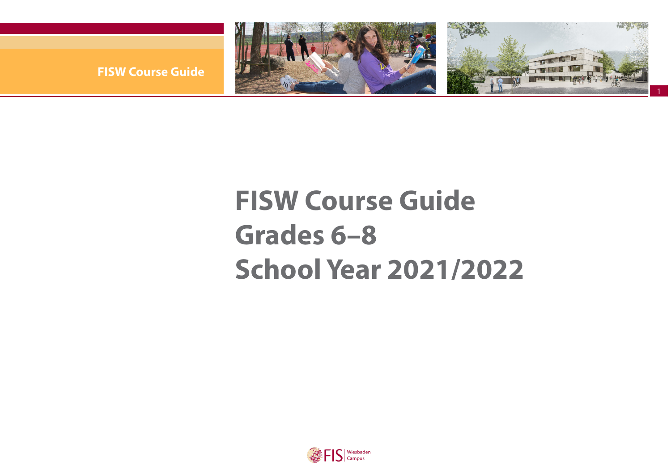

**FISW Course Guide** 

# **FISW Course Guide Grades 6–8 School Year 2021/2022**

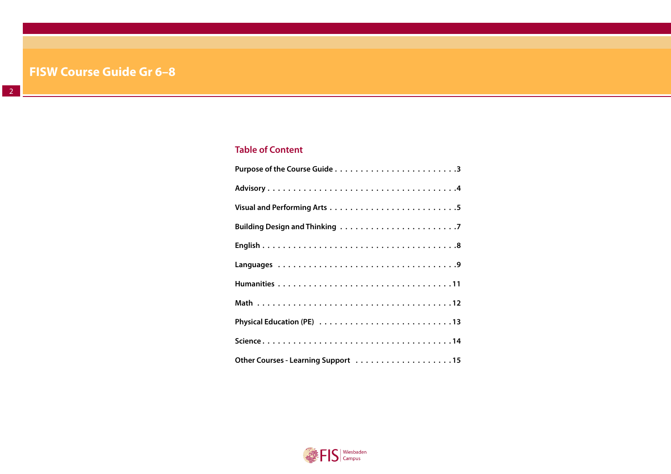## **Table of Content**

| Other Courses - Learning Support 15 |
|-------------------------------------|

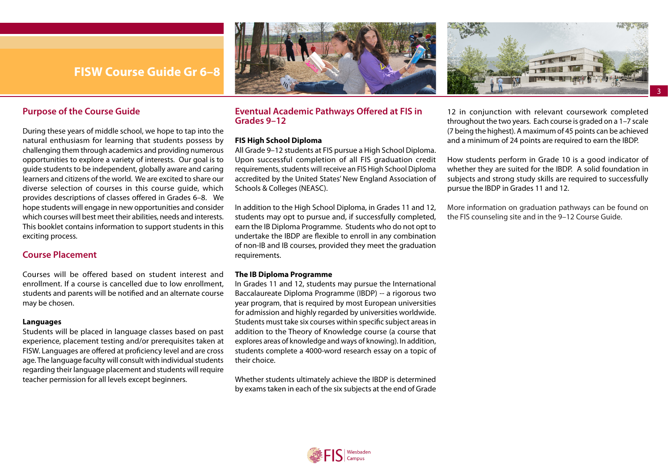



### <span id="page-2-0"></span>**Purpose of the Course Guide**

During these years of middle school, we hope to tap into the natural enthusiasm for learning that students possess by challenging them through academics and providing numerous opportunities to explore a variety of interests. Our goal is to guide students to be independent, globally aware and caring learners and citizens of the world. We are excited to share our diverse selection of courses in this course guide, which provides descriptions of classes offered in Grades 6–8. We hope students will engage in new opportunities and consider which courses will best meet their abilities, needs and interests. This booklet contains information to support students in this exciting process.

### **Course Placement**

Courses will be offered based on student interest and enrollment. If a course is cancelled due to low enrollment, students and parents will be notified and an alternate course may be chosen.

#### **Languages**

Students will be placed in language classes based on past experience, placement testing and/or prerequisites taken at FISW. Languages are offered at proficiency level and are cross age. The language faculty will consult with individual students regarding their language placement and students will require teacher permission for all levels except beginners.

### **Eventual Academic Pathways Offered at FIS in Grades 9–12**

#### **FIS High School Diploma**

All Grade 9–12 students at FIS pursue a High School Diploma. Upon successful completion of all FIS graduation credit requirements, students will receive an FIS High School Diploma accredited by the United States' New England Association of Schools & Colleges (NEASC).

In addition to the High School Diploma, in Grades 11 and 12, students may opt to pursue and, if successfully completed, earn the IB Diploma Programme. Students who do not opt to undertake the IBDP are flexible to enroll in any combination of non-IB and IB courses, provided they meet the graduation requirements.

### **The IB Diploma Programme**

In Grades 11 and 12, students may pursue the International Baccalaureate Diploma Programme (IBDP) -- a rigorous two year program, that is required by most European universities for admission and highly regarded by universities worldwide. Students must take six courses within specific subject areas in addition to the Theory of Knowledge course (a course that explores areas of knowledge and ways of knowing). In addition, students complete a 4000-word research essay on a topic of their choice.

Whether students ultimately achieve the IBDP is determined by exams taken in each of the six subjects at the end of Grade

12 in conjunction with relevant coursework completed throughout the two years. Each course is graded on a 1–7 scale (7 being the highest). A maximum of 45 points can be achieved and a minimum of 24 points are required to earn the IBDP.

3

How students perform in Grade 10 is a good indicator of whether they are suited for the IBDP. A solid foundation in subjects and strong study skills are required to successfully pursue the IBDP in Grades 11 and 12.

More information on graduation pathways can be found on the FIS counseling site and in the 9–12 Course Guide.

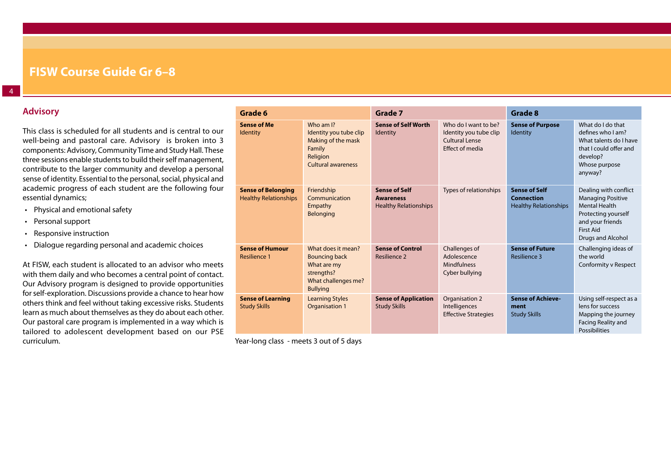### <span id="page-3-0"></span>**Advisory**

This class is scheduled for all students and is central to our well-being and pastoral care. Advisory is broken into 3 components: Advisory, Community Time and Study Hall. These three sessions enable students to build their self management, contribute to the larger community and develop a personal sense of identity. Essential to the personal, social, physical and academic progress of each student are the following four essential dynamics;

- Physical and emotional safety
- Personal support
- Responsive instruction
- Dialogue regarding personal and academic choices

At FISW, each student is allocated to an advisor who meets with them daily and who becomes a central point of contact. Our Advisory program is designed to provide opportunities for self-exploration. Discussions provide a chance to hear how others think and feel without taking excessive risks. Students learn as much about themselves as they do about each other. Our pastoral care program is implemented in a way which is tailored to adolescent development based on our PSE curriculum.

| Grade 6                                                   |                                                                                                                   | Grade 7                                                                  |                                                                                            | <b>Grade 8</b>                                                            |                                                                                                                                                               |
|-----------------------------------------------------------|-------------------------------------------------------------------------------------------------------------------|--------------------------------------------------------------------------|--------------------------------------------------------------------------------------------|---------------------------------------------------------------------------|---------------------------------------------------------------------------------------------------------------------------------------------------------------|
| <b>Sense of Me</b><br>Identity                            | Who am I?<br>Identity you tube clip<br>Making of the mask<br>Family<br>Religion<br><b>Cultural awareness</b>      | <b>Sense of Self Worth</b><br>Identity                                   | Who do I want to be?<br>Identity you tube clip<br><b>Cultural Lense</b><br>Effect of media | <b>Sense of Purpose</b><br>Identity                                       | What do I do that<br>defines who I am?<br>What talents do I have<br>that I could offer and<br>develop?<br>Whose purpose<br>anyway?                            |
| <b>Sense of Belonging</b><br><b>Healthy Relationships</b> | Friendship<br>Communication<br>Empathy<br>Belonging                                                               | <b>Sense of Self</b><br><b>Awareness</b><br><b>Healthy Relationships</b> | Types of relationships                                                                     | <b>Sense of Self</b><br><b>Connection</b><br><b>Healthy Relationships</b> | Dealing with conflict<br><b>Managing Positive</b><br><b>Mental Health</b><br>Protecting yourself<br>and your friends<br><b>First Aid</b><br>Drugs and Alcohol |
| <b>Sense of Humour</b><br><b>Resilience 1</b>             | What does it mean?<br><b>Bouncing back</b><br>What are my<br>strengths?<br>What challenges me?<br><b>Bullying</b> | <b>Sense of Control</b><br>Resilience 2                                  | Challenges of<br>Adolescence<br><b>Mindfulness</b><br>Cyber bullying                       | <b>Sense of Future</b><br>Resilience 3                                    | Challenging ideas of<br>the world<br>Conformity v Respect                                                                                                     |
| <b>Sense of Learning</b><br><b>Study Skills</b>           | <b>Learning Styles</b><br><b>Organisation 1</b>                                                                   | <b>Sense of Application</b><br><b>Study Skills</b>                       | Organisation 2<br>Intelligences<br><b>Effective Strategies</b>                             | <b>Sense of Achieve-</b><br>ment<br><b>Study Skills</b>                   | Using self-respect as a<br>lens for success<br>Mapping the journey<br>Facing Reality and<br>Possibilities                                                     |

Year-long class - meets 3 out of 5 days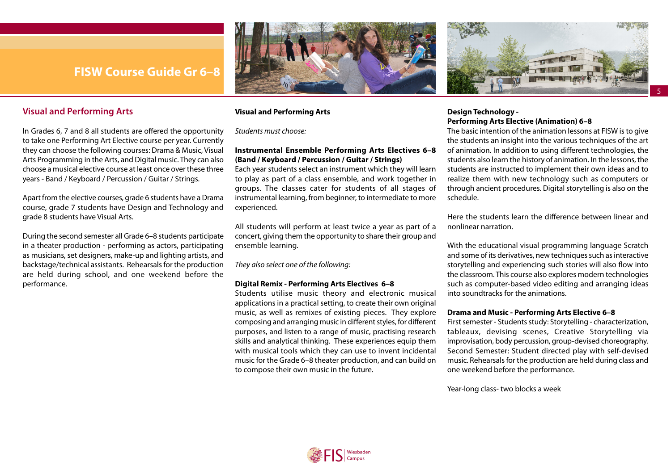

### <span id="page-4-0"></span>**Visual and Performing Arts**

In Grades 6, 7 and 8 all students are offered the opportunity to take one Performing Art Elective course per year. Currently they can choose the following courses: Drama & Music, Visual Arts Programming in the Arts, and Digital music. They can also choose a musical elective course at least once over these three years - Band / Keyboard / Percussion / Guitar / Strings.

Apart from the elective courses, grade 6 students have a Drama course, grade 7 students have Design and Technology and grade 8 students have Visual Arts.

During the second semester all Grade 6–8 students participate in a theater production - performing as actors, participating as musicians, set designers, make-up and lighting artists, and backstage/technical assistants. Rehearsals for the production are held during school, and one weekend before the performance.

### **Visual and Performing Arts**

*Students must choose:* 

### **Instrumental Ensemble Performing Arts Electives 6–8 (Band / Keyboard / Percussion / Guitar / Strings)**

Each year students select an instrument which they will learn to play as part of a class ensemble, and work together in groups. The classes cater for students of all stages of instrumental learning, from beginner, to intermediate to more experienced.

All students will perform at least twice a year as part of a concert, giving them the opportunity to share their group and ensemble learning.

*They also select one of the following:* 

#### **Digital Remix - Performing Arts Electives 6–8**

Students utilise music theory and electronic musical applications in a practical setting, to create their own original music, as well as remixes of existing pieces. They explore composing and arranging music in different styles, for different purposes, and listen to a range of music, practising research skills and analytical thinking. These experiences equip them with musical tools which they can use to invent incidental music for the Grade 6–8 theater production, and can build on to compose their own music in the future.



5

### **Design Technology - Performing Arts Elective (Animation) 6–8**

The basic intention of the animation lessons at FISW is to give the students an insight into the various techniques of the art of animation. In addition to using different technologies, the students also learn the history of animation. In the lessons, the students are instructed to implement their own ideas and to realize them with new technology such as computers or through ancient procedures. Digital storytelling is also on the schedule.

Here the students learn the difference between linear and nonlinear narration.

With the educational visual programming language Scratch and some of its derivatives, new techniques such as interactive storytelling and experiencing such stories will also flow into the classroom. This course also explores modern technologies such as computer-based video editing and arranging ideas into soundtracks for the animations.

#### **Drama and Music - Performing Arts Elective 6–8**

First semester - Students study: Storytelling - characterization, tableaux, devising scenes, Creative Storytelling via improvisation, body percussion, group-devised choreography. Second Semester: Student directed play with self-devised music. Rehearsals for the production are held during class and one weekend before the performance.

Year-long class- two blocks a week

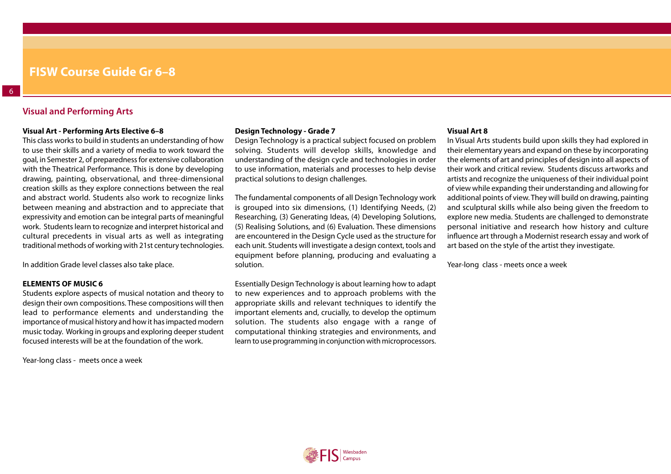### **Visual and Performing Arts**

#### **Visual Art - Performing Arts Elective 6–8**

This class works to build in students an understanding of how to use their skills and a variety of media to work toward the goal, in Semester 2, of preparedness for extensive collaboration with the Theatrical Performance. This is done by developing drawing, painting, observational, and three-dimensional creation skills as they explore connections between the real and abstract world. Students also work to recognize links between meaning and abstraction and to appreciate that expressivity and emotion can be integral parts of meaningful work. Students learn to recognize and interpret historical and cultural precedents in visual arts as well as integrating traditional methods of working with 21st century technologies.

In addition Grade level classes also take place.

#### **ELEMENTS OF MUSIC 6**

Students explore aspects of musical notation and theory to design their own compositions. These compositions will then lead to performance elements and understanding the importance of musical history and how it has impacted modern music today. Working in groups and exploring deeper student focused interests will be at the foundation of the work.

Year-long class - meets once a week

#### **Design Technology - Grade 7**

Design Technology is a practical subject focused on problem solving. Students will develop skills, knowledge and understanding of the design cycle and technologies in order to use information, materials and processes to help devise practical solutions to design challenges.

The fundamental components of all Design Technology work is grouped into six dimensions, (1) Identifying Needs, (2) Researching, (3) Generating Ideas, (4) Developing Solutions, (5) Realising Solutions, and (6) Evaluation. These dimensions are encountered in the Design Cycle used as the structure for each unit. Students will investigate a design context, tools and equipment before planning, producing and evaluating a solution.

Essentially Design Technology is about learning how to adapt to new experiences and to approach problems with the appropriate skills and relevant techniques to identify the important elements and, crucially, to develop the optimum solution. The students also engage with a range of computational thinking strategies and environments, and learn to use programming in conjunction with microprocessors.

#### **Visual Art 8**

In Visual Arts students build upon skills they had explored in their elementary years and expand on these by incorporating the elements of art and principles of design into all aspects of their work and critical review. Students discuss artworks and artists and recognize the uniqueness of their individual point of view while expanding their understanding and allowing for additional points of view. They will build on drawing, painting and sculptural skills while also being given the freedom to explore new media. Students are challenged to demonstrate personal initiative and research how history and culture influence art through a Modernist research essay and work of art based on the style of the artist they investigate.

Year-long class - meets once a week

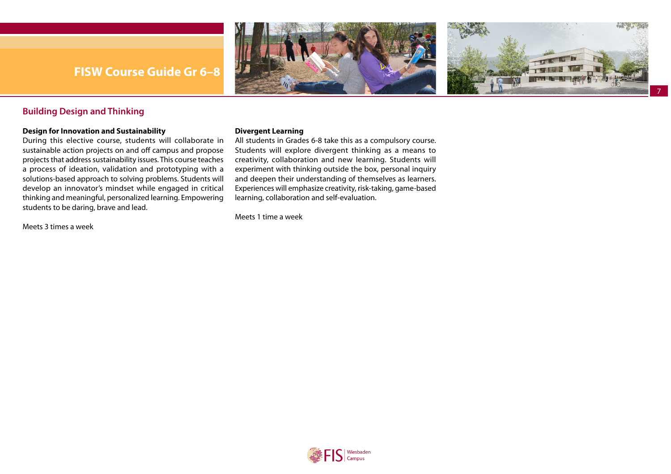



7

### <span id="page-6-0"></span>**Building Design and Thinking**

### **Design for Innovation and Sustainability**

During this elective course, students will collaborate in sustainable action projects on and off campus and propose projects that address sustainability issues. This course teaches a process of ideation, validation and prototyping with a solutions-based approach to solving problems. Students will develop an innovator's mindset while engaged in critical thinking and meaningful, personalized learning. Empowering students to be daring, brave and lead.

Meets 3 times a week

### **Divergent Learning**

All students in Grades 6-8 take this as a compulsory course. Students will explore divergent thinking as a means to creativity, collaboration and new learning. Students will experiment with thinking outside the box, personal inquiry and deepen their understanding of themselves as learners. Experiences will emphasize creativity, risk-taking, game-based learning, collaboration and self-evaluation.

Meets 1 time a week

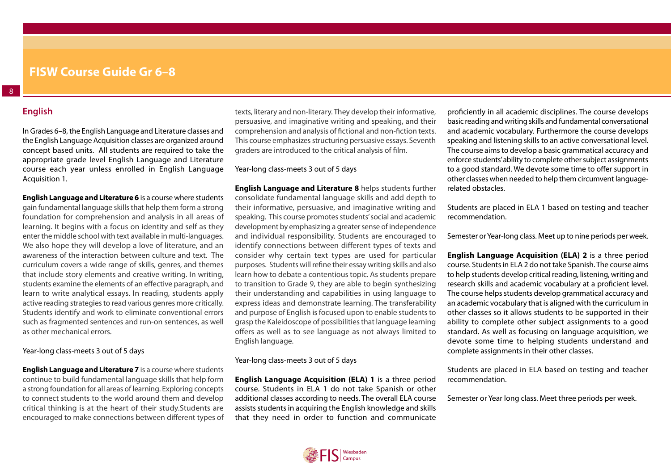### **English**

<span id="page-7-0"></span>8

In Grades 6–8, the English Language and Literature classes and the English Language Acquisition classes are organized around concept based units. All students are required to take the appropriate grade level English Language and Literature course each year unless enrolled in English Language Acquisition 1.

**English Language and Literature 6** is a course where students gain fundamental language skills that help them form a strong foundation for comprehension and analysis in all areas of learning. It begins with a focus on identity and self as they enter the middle school with text available in multi-languages. We also hope they will develop a love of literature, and an awareness of the interaction between culture and text. The curriculum covers a wide range of skills, genres, and themes that include story elements and creative writing. In writing, students examine the elements of an effective paragraph, and learn to write analytical essays. In reading, students apply active reading strategies to read various genres more critically. Students identify and work to eliminate conventional errors such as fragmented sentences and run-on sentences, as well as other mechanical errors.

Year-long class-meets 3 out of 5 days

**English Language and Literature 7** is a course where students continue to build fundamental language skills that help form a strong foundation for all areas of learning. Exploring concepts to connect students to the world around them and develop critical thinking is at the heart of their study.Students are encouraged to make connections between different types of texts, literary and non-literary. They develop their informative, persuasive, and imaginative writing and speaking, and their comprehension and analysis of fictional and non-fiction texts. This course emphasizes structuring persuasive essays. Seventh graders are introduced to the critical analysis of film.

Year-long class-meets 3 out of 5 days

**English Language and Literature 8** helps students further consolidate fundamental language skills and add depth to their informative, persuasive, and imaginative writing and speaking. This course promotes students' social and academic development by emphasizing a greater sense of independence and individual responsibility. Students are encouraged to identify connections between different types of texts and consider why certain text types are used for particular purposes. Students will refine their essay writing skills and also learn how to debate a contentious topic. As students prepare to transition to Grade 9, they are able to begin synthesizing their understanding and capabilities in using language to express ideas and demonstrate learning. The transferability and purpose of English is focused upon to enable students to grasp the Kaleidoscope of possibilities that language learning offers as well as to see language as not always limited to English language.

### Year-long class-meets 3 out of 5 days

**English Language Acquisition (ELA) 1** is a three period course. Students in ELA 1 do not take Spanish or other additional classes according to needs. The overall ELA course assists students in acquiring the English knowledge and skills that they need in order to function and communicate

proficiently in all academic disciplines. The course develops basic reading and writing skills and fundamental conversational and academic vocabulary. Furthermore the course develops speaking and listening skills to an active conversational level. The course aims to develop a basic grammatical accuracy and enforce students' ability to complete other subject assignments to a good standard. We devote some time to offer support in other classes when needed to help them circumvent languagerelated obstacles.

Students are placed in ELA 1 based on testing and teacher recommendation.

Semester or Year-long class. Meet up to nine periods per week.

**English Language Acquisition (ELA) 2** is a three period course. Students in ELA 2 do not take Spanish. The course aims to help students develop critical reading, listening, writing and research skills and academic vocabulary at a proficient level. The course helps students develop grammatical accuracy and an academic vocabulary that is aligned with the curriculum in other classes so it allows students to be supported in their ability to complete other subject assignments to a good standard. As well as focusing on language acquisition, we devote some time to helping students understand and complete assignments in their other classes.

Students are placed in ELA based on testing and teacher recommendation.

Semester or Year long class. Meet three periods per week.

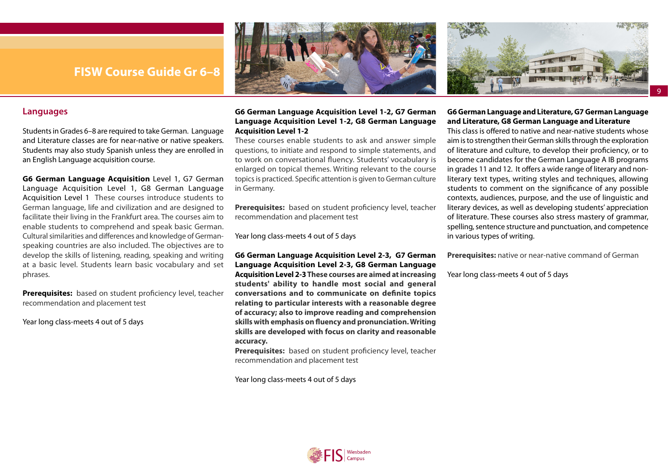



### <span id="page-8-0"></span>**Languages**

Students in Grades 6–8 are required to take German. Language and Literature classes are for near-native or native speakers. Students may also study Spanish unless they are enrolled in an English Language acquisition course.

**G6 German Language Acquisition** Level 1, G7 German Language Acquisition Level 1, G8 German Language Acquisition Level 1 These courses introduce students to German language, life and civilization and are designed to facilitate their living in the Frankfurt area. The courses aim to enable students to comprehend and speak basic German. Cultural similarities and differences and knowledge of Germanspeaking countries are also included. The objectives are to develop the skills of listening, reading, speaking and writing at a basic level. Students learn basic vocabulary and set phrases.

**Prerequisites:** based on student proficiency level, teacher recommendation and placement test

Year long class-meets 4 out of 5 days

### **G6 German Language Acquisition Level 1-2, G7 German Language Acquisition Level 1-2, G8 German Language Acquisition Level 1-2**

These courses enable students to ask and answer simple questions, to initiate and respond to simple statements, and to work on conversational fluency. Students' vocabulary is enlarged on topical themes. Writing relevant to the course topics is practiced. Specific attention is given to German culture in Germany.

**Prerequisites:** based on student proficiency level, teacher recommendation and placement test

Year long class-meets 4 out of 5 days

**G6 German Language Acquisition Level 2-3, G7 German Language Acquisition Level 2-3, G8 German Language Acquisition Level 2-3 These courses are aimed at increasing students' ability to handle most social and general conversations and to communicate on definite topics relating to particular interests with a reasonable degree of accuracy; also to improve reading and comprehension skills with emphasis on fluency and pronunciation. Writing skills are developed with focus on clarity and reasonable accuracy.** 

**Prerequisites:** based on student proficiency level, teacher recommendation and placement test

Year long class-meets 4 out of 5 days

### **G6 German Language and Literature, G7 German Language and Literature, G8 German Language and Literature**

9

This class is offered to native and near-native students whose aim is to strengthen their German skills through the exploration of literature and culture, to develop their proficiency, or to become candidates for the German Language A IB programs in grades 11 and 12. It offers a wide range of literary and nonliterary text types, writing styles and techniques, allowing students to comment on the significance of any possible contexts, audiences, purpose, and the use of linguistic and literary devices, as well as developing students' appreciation of literature. These courses also stress mastery of grammar, spelling, sentence structure and punctuation, and competence in various types of writing.

**Prerequisites:** native or near-native command of German

Year long class-meets 4 out of 5 days

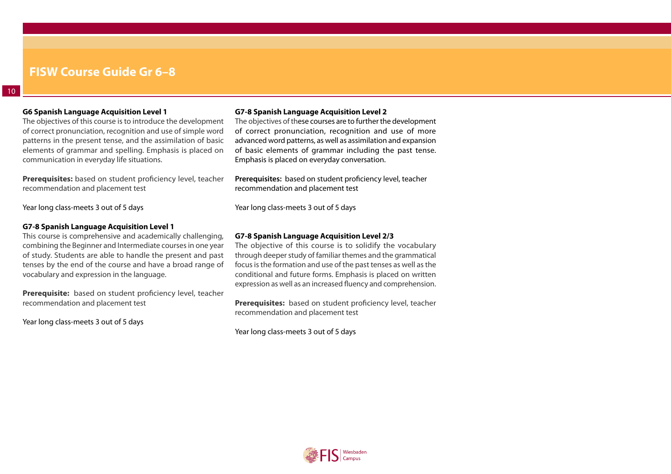### **G6 Spanish Language Acquisition Level 1**

The objectives of this course is to introduce the development of correct pronunciation, recognition and use of simple word patterns in the present tense, and the assimilation of basic elements of grammar and spelling. Emphasis is placed on communication in everyday life situations.

**Prerequisites:** based on student proficiency level, teacher recommendation and placement test

Year long class-meets 3 out of 5 days

### **G7-8 Spanish Language Acquisition Level 1**

This course is comprehensive and academically challenging, combining the Beginner and Intermediate courses in one year of study. Students are able to handle the present and past tenses by the end of the course and have a broad range of vocabulary and expression in the language.

**Prerequisite:** based on student proficiency level, teacher recommendation and placement test

Year long class-meets 3 out of 5 days

### **G7-8 Spanish Language Acquisition Level 2**

The objectives of these courses are to further the development of correct pronunciation, recognition and use of more advanced word patterns, as well as assimilation and expansion of basic elements of grammar including the past tense. Emphasis is placed on everyday conversation.

**Prerequisites:** based on student proficiency level, teacher recommendation and placement test

Year long class-meets 3 out of 5 days

### **G7-8 Spanish Language Acquisition Level 2/3**

The objective of this course is to solidify the vocabulary through deeper study of familiar themes and the grammatical focus is the formation and use of the past tenses as well as the conditional and future forms. Emphasis is placed on written expression as well as an increased fluency and comprehension.

**Prerequisites:** based on student proficiency level, teacher recommendation and placement test

Year long class-meets 3 out of 5 days

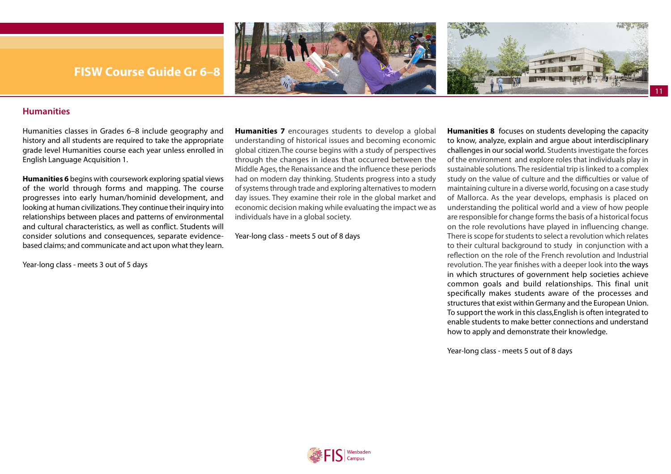

### <span id="page-10-0"></span>**Humanities**

Humanities classes in Grades 6–8 include geography and history and all students are required to take the appropriate grade level Humanities course each year unless enrolled in English Language Acquisition 1.

**Humanities 6** begins with coursework exploring spatial views of the world through forms and mapping. The course progresses into early human/hominid development, and looking at human civilizations. They continue their inquiry into relationships between places and patterns of environmental and cultural characteristics, as well as conflict. Students will consider solutions and consequences, separate evidencebased claims; and communicate and act upon what they learn.

**Humanities 7** encourages students to develop a global understanding of historical issues and becoming economic global citizen.The course begins with a study of perspectives through the changes in ideas that occurred between the Middle Ages, the Renaissance and the influence these periods had on modern day thinking. Students progress into a study of systems through trade and exploring alternatives to modern day issues. They examine their role in the global market and economic decision making while evaluating the impact we as individuals have in a global society.

Year-long class - meets 5 out of 8 days

Year-long class - meets 3 out of 5 days

**Humanities 8** focuses on students developing the capacity to know, analyze, explain and argue about interdisciplinary challenges in our social world. Students investigate the forces of the environment and explore roles that individuals play in sustainable solutions. The residential trip is linked to a complex study on the value of culture and the difficulties or value of maintaining culture in a diverse world, focusing on a case study of Mallorca. As the year develops, emphasis is placed on understanding the political world and a view of how people are responsible for change forms the basis of a historical focus on the role revolutions have played in influencing change. There is scope for students to select a revolution which relates to their cultural background to study in conjunction with a reflection on the role of the French revolution and Industrial revolution. The year finishes with a deeper look into the ways in which structures of government help societies achieve common goals and build relationships. This final unit specifically makes students aware of the processes and structures that exist within Germany and the European Union. To support the work in this class,English is often integrated to enable students to make better connections and understand how to apply and demonstrate their knowledge.

Year-long class - meets 5 out of 8 days

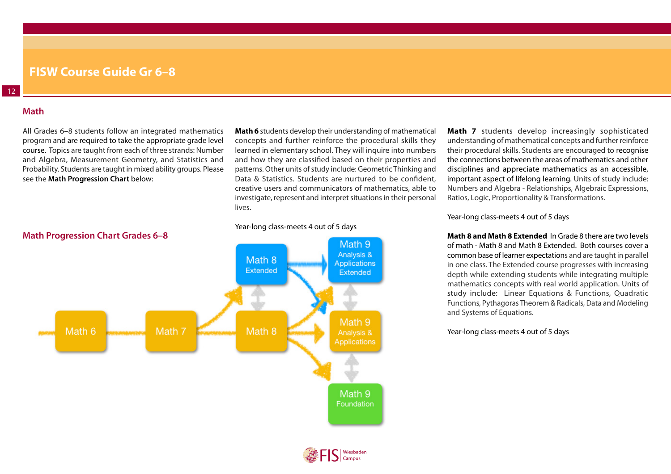### **Math**

<span id="page-11-0"></span>12

All Grades 6–8 students follow an integrated mathematics program and are required to take the appropriate grade level course. Topics are taught from each of three strands: Number and Algebra, Measurement Geometry, and Statistics and Probability. Students are taught in mixed ability groups. Please see the **[Math Progression Chart](https://docs.google.com/presentation/d/1sXOF1aVR5suX3-Tdn1ZNHyTuuv7t3gqmB90FcfkXOxg/edit#slide=id.g6f3d2a6f0a_0_6)** below:

**Math 6** students develop their understanding of mathematical concepts and further reinforce the procedural skills they learned in elementary school. They will inquire into numbers and how they are classified based on their properties and patterns. Other units of study include: Geometric Thinking and Data & Statistics. Students are nurtured to be confident. creative users and communicators of mathematics, able to investigate, represent and interpret situations in their personal lives.

#### Year-long class-meets 4 out of 5 days



**Math 7** students develop increasingly sophisticated understanding of mathematical concepts and further reinforce their procedural skills. Students are encouraged to recognise the connections between the areas of mathematics and other disciplines and appreciate mathematics as an accessible, important aspect of lifelong learning. Units of study include: Numbers and Algebra - Relationships, Algebraic Expressions, Ratios, Logic, Proportionality & Transformations.

### Year-long class-meets 4 out of 5 days

**Math 8 and Math 8 Extended** In Grade 8 there are two levels of math - Math 8 and Math 8 Extended. Both courses cover a common base of learner expectations and are taught in parallel in one class. The Extended course progresses with increasing depth while extending students while integrating multiple mathematics concepts with real world application. Units of study include: Linear Equations & Functions, Quadratic Functions, Pythagoras Theorem & Radicals, Data and Modeling and Systems of Equations.

Year-long class-meets 4 out of 5 days

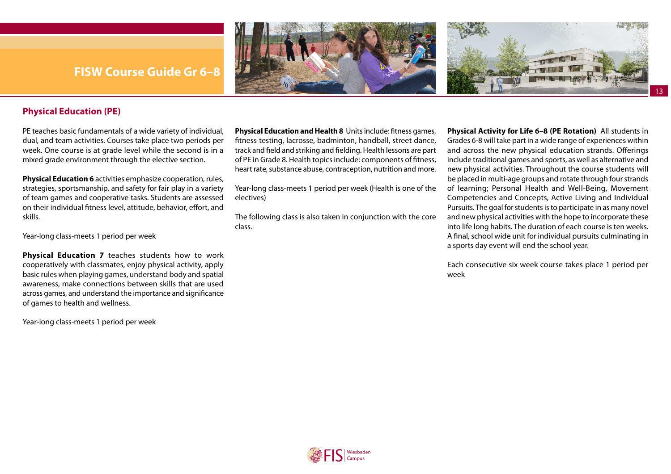<span id="page-12-0"></span>





13

### **Physical Education (PE)**

PE teaches basic fundamentals of a wide variety of individual, dual, and team activities. Courses take place two periods per week. One course is at grade level while the second is in a mixed grade environment through the elective section.

**[Physical Education 6](https://fis-public.rubiconatlas.org/Atlas/Browse/View/Map?CurriculumMapID=121&YearID=2020&SourceSiteID=&)** activities emphasize cooperation, rules, strategies, sportsmanship, and safety for fair play in a variety of team games and cooperative tasks. Students are assessed on their individual fitness level, attitude, behavior, effort, and skills.

Year-long class-meets 1 period per week

**[Physical Education 7](https://fis-public.rubiconatlas.org/Atlas/Browse/View/Map?BackLink=12578&CurriculumMapID=122&YearID=2020&SourceSiteID=)** teaches students how to work cooperatively with classmates, enjoy physical activity, apply basic rules when playing games, understand body and spatial awareness, make connections between skills that are used across games, and understand the importance and significance of games to health and wellness.

Year-long class-meets 1 period per week

**[Physical Education and Health 8](https://fis.rubiconatlas.org/Atlas/Browse/View/MapDescription?CurriculumMapID=3175&)** Units include: fitness games, fitness testing, lacrosse, badminton, handball, street dance, track and field and striking and fielding. Health lessons are part of PE in Grade 8. Health topics include: components of fitness, heart rate, substance abuse, contraception, nutrition and more.

Year-long class-meets 1 period per week (Health is one of the electives)

The following class is also taken in conjunction with the core class.

**Physical Activity for Life 6–8 (PE Rotation)** All students in Grades 6-8 will take part in a wide range of experiences within and across the new physical education strands. Offerings include traditional games and sports, as well as alternative and new physical activities. Throughout the course students will be placed in multi-age groups and rotate through four strands of learning; Personal Health and Well-Being, Movement Competencies and Concepts, Active Living and Individual Pursuits. The goal for students is to participate in as many novel and new physical activities with the hope to incorporate these into life long habits. The duration of each course is ten weeks. A final, school wide unit for individual pursuits culminating in a sports day event will end the school year.

Each consecutive six week course takes place 1 period per week

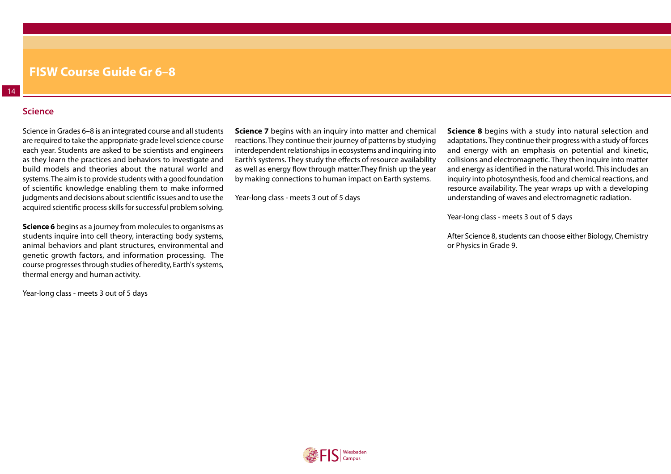### **Science**

<span id="page-13-0"></span>14

Science in Grades 6–8 is an integrated course and all students are required to take the appropriate grade level science course each year. Students are asked to be scientists and engineers as they learn the practices and behaviors to investigate and build models and theories about the natural world and systems. The aim is to provide students with a good foundation of scientific knowledge enabling them to make informed judgments and decisions about scientific issues and to use the acquired scientific process skills for successful problem solving.

**Science 6** begins as a journey from molecules to organisms as students inquire into cell theory, interacting body systems, animal behaviors and plant structures, environmental and genetic growth factors, and information processing. The course progresses through studies of heredity, Earth's systems, thermal energy and human activity.

Year-long class - meets 3 out of 5 days

**Science 7** begins with an inquiry into matter and chemical reactions. They continue their journey of patterns by studying interdependent relationships in ecosystems and inquiring into Earth's systems. They study the effects of resource availability as well as energy flow through matter.They finish up the year by making connections to human impact on Earth systems.

Year-long class - meets 3 out of 5 days

**Science 8** begins with a study into natural selection and adaptations. They continue their progress with a study of forces and energy with an emphasis on potential and kinetic, collisions and electromagnetic. They then inquire into matter and energy as identified in the natural world. This includes an inquiry into photosynthesis, food and chemical reactions, and resource availability. The year wraps up with a developing understanding of waves and electromagnetic radiation.

Year-long class - meets 3 out of 5 days

After Science 8, students can choose either Biology, Chemistry or Physics in Grade 9.

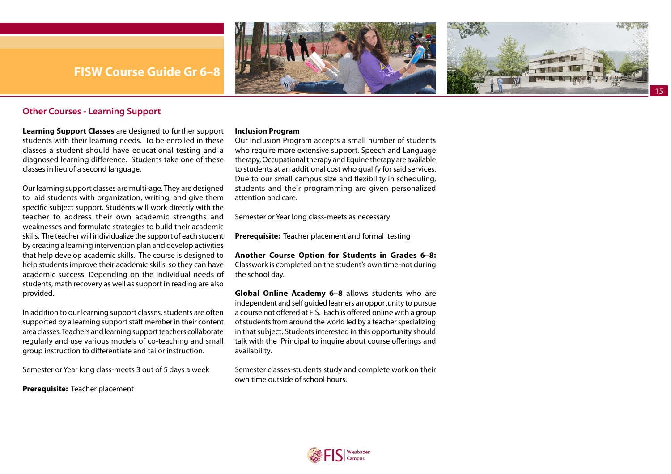<span id="page-14-0"></span>





### **Other Courses - Learning Support**

**Learning Support Classes** are designed to further support students with their learning needs. To be enrolled in these classes a student should have educational testing and a diagnosed learning difference. Students take one of these classes in lieu of a second language.

Our learning support classes are multi-age. They are designed to aid students with organization, writing, and give them specific subject support. Students will work directly with the teacher to address their own academic strengths and weaknesses and formulate strategies to build their academic skills. The teacher will individualize the support of each student by creating a learning intervention plan and develop activities that help develop academic skills. The course is designed to help students improve their academic skills, so they can have academic success. Depending on the individual needs of students, math recovery as well as support in reading are also provided.

In addition to our learning support classes, students are often supported by a learning support staff member in their content area classes. Teachers and learning support teachers collaborate regularly and use various models of co-teaching and small group instruction to differentiate and tailor instruction.

Semester or Year long class-meets 3 out of 5 days a week

**Prerequisite:** Teacher placement

### **Inclusion Program**

Our Inclusion Program accepts a small number of students who require more extensive support. Speech and Language therapy, Occupational therapy and Equine therapy are available to students at an additional cost who qualify for said services. Due to our small campus size and flexibility in scheduling, students and their programming are given personalized attention and care.

Semester or Year long class-meets as necessary

**Prerequisite:** Teacher placement and formal testing

**Another Course Option for Students in Grades 6–8:**  Classwork is completed on the student's own time-not during the school day.

**Global Online Academy 6–8** allows students who are independent and self guided learners an opportunity to pursue a course not offered at FIS. Each is offered online with a group of students from around the world led by a teacher specializing in that subject. Students interested in this opportunity should talk with the Principal to inquire about course offerings and availability.

Semester classes-students study and complete work on their own time outside of school hours.